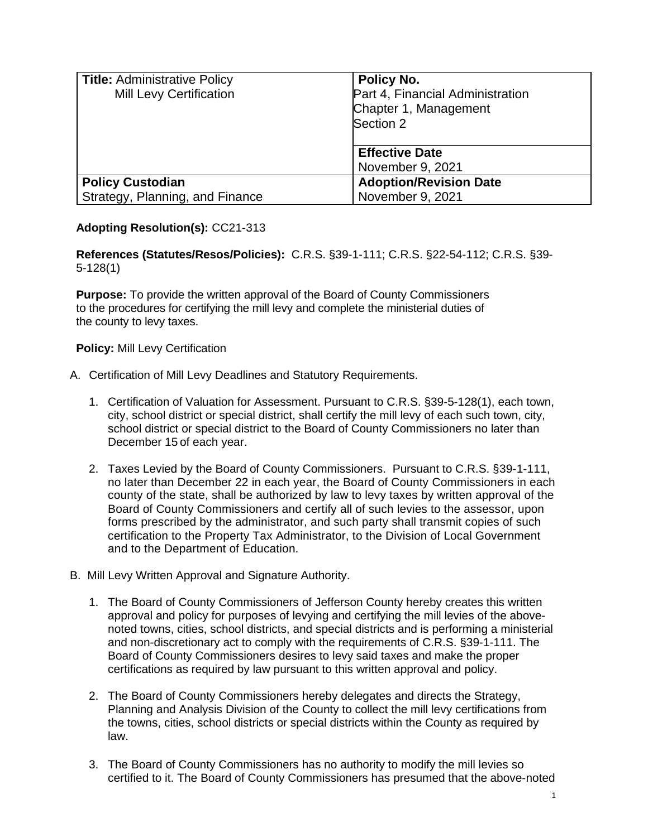| <b>Title: Administrative Policy</b><br><b>Mill Levy Certification</b> | Policy No.<br>Part 4, Financial Administration |
|-----------------------------------------------------------------------|------------------------------------------------|
|                                                                       | Chapter 1, Management                          |
|                                                                       | Section 2                                      |
|                                                                       | <b>Effective Date</b>                          |
|                                                                       | November 9, 2021                               |
| <b>Policy Custodian</b>                                               | <b>Adoption/Revision Date</b>                  |
| Strategy, Planning, and Finance                                       | November 9, 2021                               |

## **Adopting Resolution(s):** CC21-313

**References (Statutes/Resos/Policies):** C.R.S. §39-1-111; C.R.S. §22-54-112; C.R.S. §39- 5-128(1)

**Purpose:** To provide the written approval of the Board of County Commissioners to the procedures for certifying the mill levy and complete the ministerial duties of the county to levy taxes.

## **Policy:** Mill Levy Certification

- A. Certification of Mill Levy Deadlines and Statutory Requirements.
	- 1. Certification of Valuation for Assessment. Pursuant to C.R.S. §39-5-128(1), each town, city, school district or special district, shall certify the mill levy of each such town, city, school district or special district to the Board of County Commissioners no later than December 15 of each year.
	- 2. Taxes Levied by the Board of County Commissioners. Pursuant to C.R.S. §39-1-111, no later than December 22 in each year, the Board of County Commissioners in each county of the state, shall be authorized by law to levy taxes by written approval of the Board of County Commissioners and certify all of such levies to the assessor, upon forms prescribed by the administrator, and such party shall transmit copies of such certification to the Property Tax Administrator, to the Division of Local Government and to the Department of Education.
- B. Mill Levy Written Approval and Signature Authority.
	- 1. The Board of County Commissioners of Jefferson County hereby creates this written approval and policy for purposes of levying and certifying the mill levies of the abovenoted towns, cities, school districts, and special districts and is performing a ministerial and non-discretionary act to comply with the requirements of C.R.S. §39-1-111. The Board of County Commissioners desires to levy said taxes and make the proper certifications as required by law pursuant to this written approval and policy.
	- 2. The Board of County Commissioners hereby delegates and directs the Strategy, Planning and Analysis Division of the County to collect the mill levy certifications from the towns, cities, school districts or special districts within the County as required by law.
	- 3. The Board of County Commissioners has no authority to modify the mill levies so certified to it. The Board of County Commissioners has presumed that the above-noted